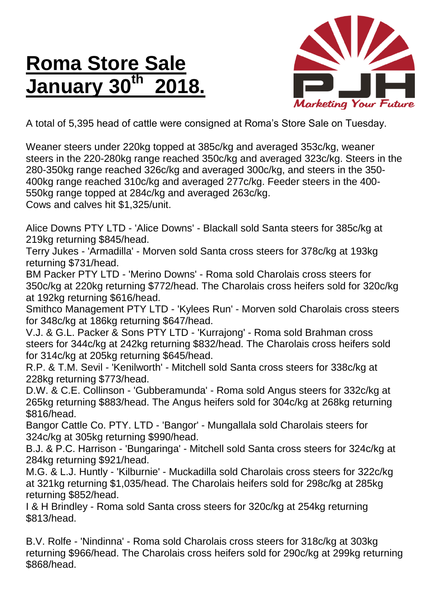## **Roma Store Sale January 30th 2018.**



A total of 5,395 head of cattle were consigned at Roma's Store Sale on Tuesday.

Weaner steers under 220kg topped at 385c/kg and averaged 353c/kg, weaner steers in the 220-280kg range reached 350c/kg and averaged 323c/kg. Steers in the 280-350kg range reached 326c/kg and averaged 300c/kg, and steers in the 350- 400kg range reached 310c/kg and averaged 277c/kg. Feeder steers in the 400- 550kg range topped at 284c/kg and averaged 263c/kg. Cows and calves hit \$1,325/unit.

Alice Downs PTY LTD - 'Alice Downs' - Blackall sold Santa steers for 385c/kg at 219kg returning \$845/head.

Terry Jukes - 'Armadilla' - Morven sold Santa cross steers for 378c/kg at 193kg returning \$731/head.

BM Packer PTY LTD - 'Merino Downs' - Roma sold Charolais cross steers for 350c/kg at 220kg returning \$772/head. The Charolais cross heifers sold for 320c/kg at 192kg returning \$616/head.

Smithco Management PTY LTD - 'Kylees Run' - Morven sold Charolais cross steers for 348c/kg at 186kg returning \$647/head.

V.J. & G.L. Packer & Sons PTY LTD - 'Kurrajong' - Roma sold Brahman cross steers for 344c/kg at 242kg returning \$832/head. The Charolais cross heifers sold for 314c/kg at 205kg returning \$645/head.

R.P. & T.M. Sevil - 'Kenilworth' - Mitchell sold Santa cross steers for 338c/kg at 228kg returning \$773/head.

D.W. & C.E. Collinson - 'Gubberamunda' - Roma sold Angus steers for 332c/kg at 265kg returning \$883/head. The Angus heifers sold for 304c/kg at 268kg returning \$816/head.

Bangor Cattle Co. PTY. LTD - 'Bangor' - Mungallala sold Charolais steers for 324c/kg at 305kg returning \$990/head.

B.J. & P.C. Harrison - 'Bungaringa' - Mitchell sold Santa cross steers for 324c/kg at 284kg returning \$921/head.

M.G. & L.J. Huntly - 'Kilburnie' - Muckadilla sold Charolais cross steers for 322c/kg at 321kg returning \$1,035/head. The Charolais heifers sold for 298c/kg at 285kg returning \$852/head.

I & H Brindley - Roma sold Santa cross steers for 320c/kg at 254kg returning \$813/head.

B.V. Rolfe - 'Nindinna' - Roma sold Charolais cross steers for 318c/kg at 303kg returning \$966/head. The Charolais cross heifers sold for 290c/kg at 299kg returning \$868/head.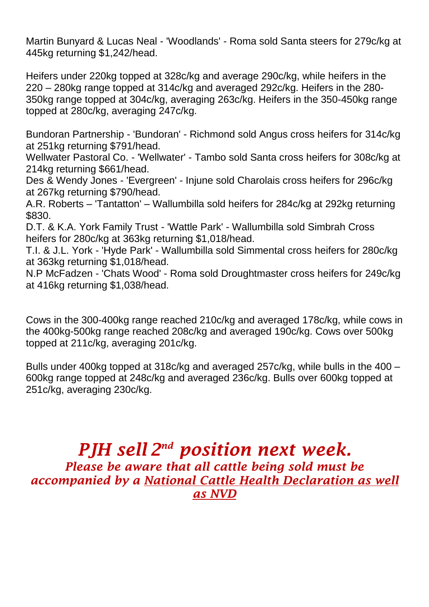Martin Bunyard & Lucas Neal - 'Woodlands' - Roma sold Santa steers for 279c/kg at 445kg returning \$1,242/head.

Heifers under 220kg topped at 328c/kg and average 290c/kg, while heifers in the 220 – 280kg range topped at 314c/kg and averaged 292c/kg. Heifers in the 280- 350kg range topped at 304c/kg, averaging 263c/kg. Heifers in the 350-450kg range topped at 280c/kg, averaging 247c/kg.

Bundoran Partnership - 'Bundoran' - Richmond sold Angus cross heifers for 314c/kg at 251kg returning \$791/head.

Wellwater Pastoral Co. - 'Wellwater' - Tambo sold Santa cross heifers for 308c/kg at 214kg returning \$661/head.

Des & Wendy Jones - 'Evergreen' - Injune sold Charolais cross heifers for 296c/kg at 267kg returning \$790/head.

A.R. Roberts – 'Tantatton' – Wallumbilla sold heifers for 284c/kg at 292kg returning \$830.

D.T. & K.A. York Family Trust - 'Wattle Park' - Wallumbilla sold Simbrah Cross heifers for 280c/kg at 363kg returning \$1,018/head.

T.I. & J.L. York - 'Hyde Park' - Wallumbilla sold Simmental cross heifers for 280c/kg at 363kg returning \$1,018/head.

N.P McFadzen - 'Chats Wood' - Roma sold Droughtmaster cross heifers for 249c/kg at 416kg returning \$1,038/head.

Cows in the 300-400kg range reached 210c/kg and averaged 178c/kg, while cows in the 400kg-500kg range reached 208c/kg and averaged 190c/kg. Cows over 500kg topped at 211c/kg, averaging 201c/kg.

Bulls under 400kg topped at 318c/kg and averaged 257c/kg, while bulls in the 400 – 600kg range topped at 248c/kg and averaged 236c/kg. Bulls over 600kg topped at 251c/kg, averaging 230c/kg.

## *PJH sell 2 nd position next week. Please be aware that all cattle being sold must be accompanied by a National Cattle Health Declaration as well as NVD*